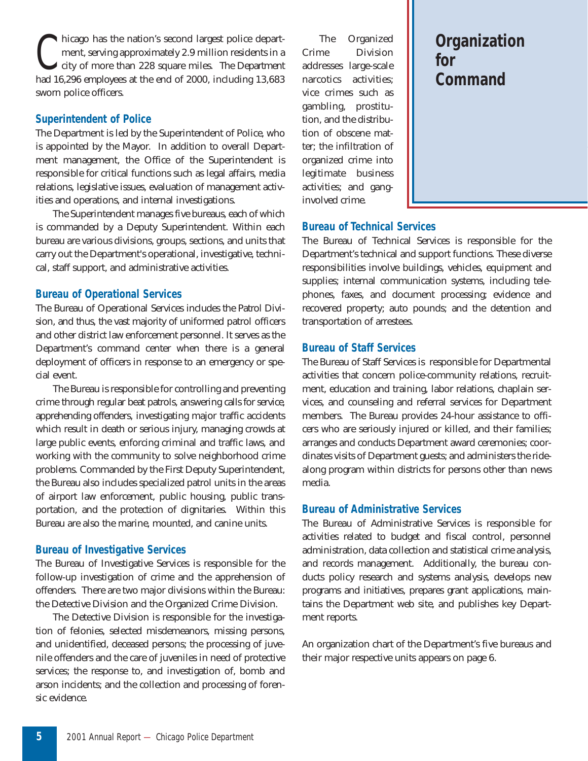hicago has the nation's second largest police department, serving approximately 2.9 million residents in a city of more than 228 square miles. The Department had 16,296 employees at the end of 2000, including 13,683 hicago has the nation's second largest police department, serving approximately 2.9 million residents in a city of more than 228 square miles. The Department sworn police officers.

## **Superintendent of Police**

The Department is led by the Superintendent of Police, who is appointed by the Mayor. In addition to overall Department management, the Office of the Superintendent is responsible for critical functions such as legal affairs, media relations, legislative issues, evaluation of management activities and operations, and internal investigations.

The Superintendent manages five bureaus, each of which is commanded by a Deputy Superintendent. Within each bureau are various divisions, groups, sections, and units that carry out the Department's operational, investigative, technical, staff support, and administrative activities.

#### **Bureau of Operational Services**

The Bureau of Operational Services includes the Patrol Division, and thus, the vast majority of uniformed patrol officers and other district law enforcement personnel. It serves as the Department's command center when there is a general deployment of officers in response to an emergency or special event.

The Bureau is responsible for controlling and preventing crime through regular beat patrols, answering calls for service, apprehending offenders, investigating major traffic accidents which result in death or serious injury, managing crowds at large public events, enforcing criminal and traffic laws, and working with the community to solve neighborhood crime problems. Commanded by the First Deputy Superintendent, the Bureau also includes specialized patrol units in the areas of airport law enforcement, public housing, public transportation, and the protection of dignitaries. Within this Bureau are also the marine, mounted, and canine units.

## **Bureau of Investigative Services**

The Bureau of Investigative Services is responsible for the follow-up investigation of crime and the apprehension of offenders. There are two major divisions within the Bureau: the Detective Division and the Organized Crime Division.

The Detective Division is responsible for the investigation of felonies, selected misdemeanors, missing persons, and unidentified, deceased persons; the processing of juvenile offenders and the care of juveniles in need of protective services; the response to, and investigation of, bomb and arson incidents; and the collection and processing of forensic evidence.

The Organized Crime Division addresses large-scale narcotics activities; vice crimes such as gambling, prostitution, and the distribution of obscene matter; the infiltration of organized crime into legitimate business activities; and ganginvolved crime.

# **Organization for Command**

# **Bureau of Technical Services**

The Bureau of Technical Services is responsible for the Department's technical and support functions. These diverse responsibilities involve buildings, vehicles, equipment and supplies; internal communication systems, including telephones, faxes, and document processing; evidence and recovered property; auto pounds; and the detention and transportation of arrestees.

## **Bureau of Staff Services**

The Bureau of Staff Services is responsible for Departmental activities that concern police-community relations, recruitment, education and training, labor relations, chaplain services, and counseling and referral services for Department members. The Bureau provides 24-hour assistance to officers who are seriously injured or killed, and their families; arranges and conducts Department award ceremonies; coordinates visits of Department guests; and administers the ridealong program within districts for persons other than news media.

### **Bureau of Administrative Services**

The Bureau of Administrative Services is responsible for activities related to budget and fiscal control, personnel administration, data collection and statistical crime analysis, and records management. Additionally, the bureau conducts policy research and systems analysis, develops new programs and initiatives, prepares grant applications, maintains the Department web site, and publishes key Department reports.

An organization chart of the Department's five bureaus and their major respective units appears on page 6.